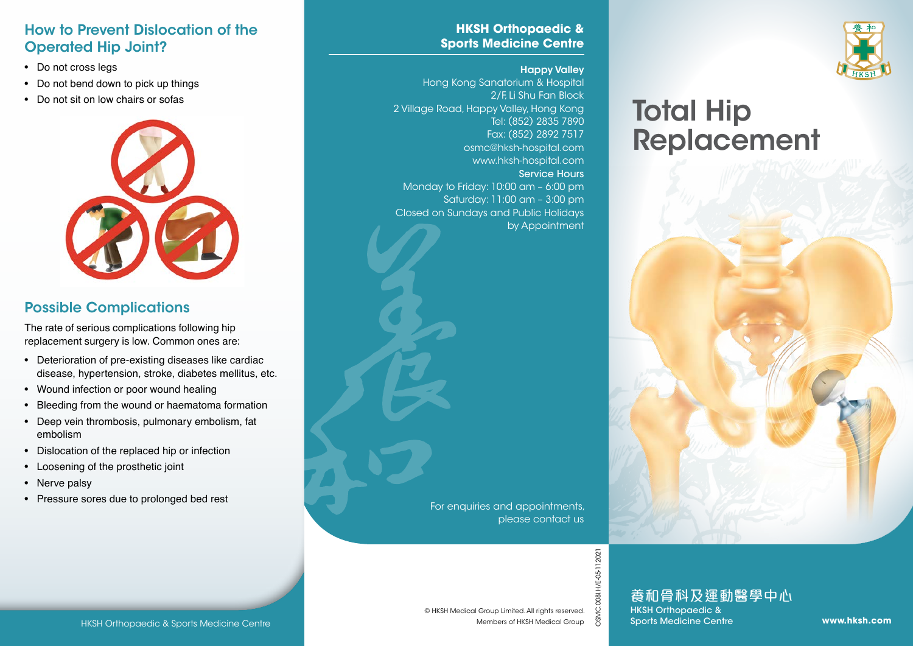# Total Hip Replacement



#### **HKSH Orthopaedic & Sports Medicine Centre**

#### Happy Valley

Hong Kong Sanatorium & Hospital 2/F, Li Shu Fan Block 2 Village Road, Happy Valley, Hong Kong Tel: (852) 2835 7890 Fax: (852) 2892 7517 osmc@hksh-hospital.com www.hksh-hospital.com Service Hours Monday to Friday: 10:00 am – 6:00 pm Saturday: 11:00 am – 3:00 pm Closed on Sundays and Public Holidays by Appointment

#### How to Prevent Dislocation of the Operated Hip Joint?

- Do not cross legs
- Do not bend down to pick up things
- Do not sit on low chairs or sofas



## Possible Complications

The rate of serious complications following hip replacement surgery is low. Common ones are:

- Deterioration of pre-existing diseases like cardiac disease, hypertension, stroke, diabetes mellitus, etc.
- Wound infection or poor wound healing
- Bleeding from the wound or haematoma formation
- Deep vein thrombosis, pulmonary embolism, fat embolism
- Dislocation of the replaced hip or infection
- Loosening of the prosthetic joint
- Nerve palsy
- Pressure sores due to prolonged bed rest

For enquiries and appointments, please contact us

OSMC.008I.H/E-05-112021

HKSH Orthopaedic & Sports Medicine Centre<br>
MESH Medical Group Limited. All rights reserved.<br>
Members of HKSH Medical Group<br>
Members of HKSH Medical Group & Sports Medicine Centre www.**hksh.com**<br>
Members of HKSH Medical Gr 養和骨科及運動醫學中心 HKSH Orthopaedic &

Sports Medicine Centre